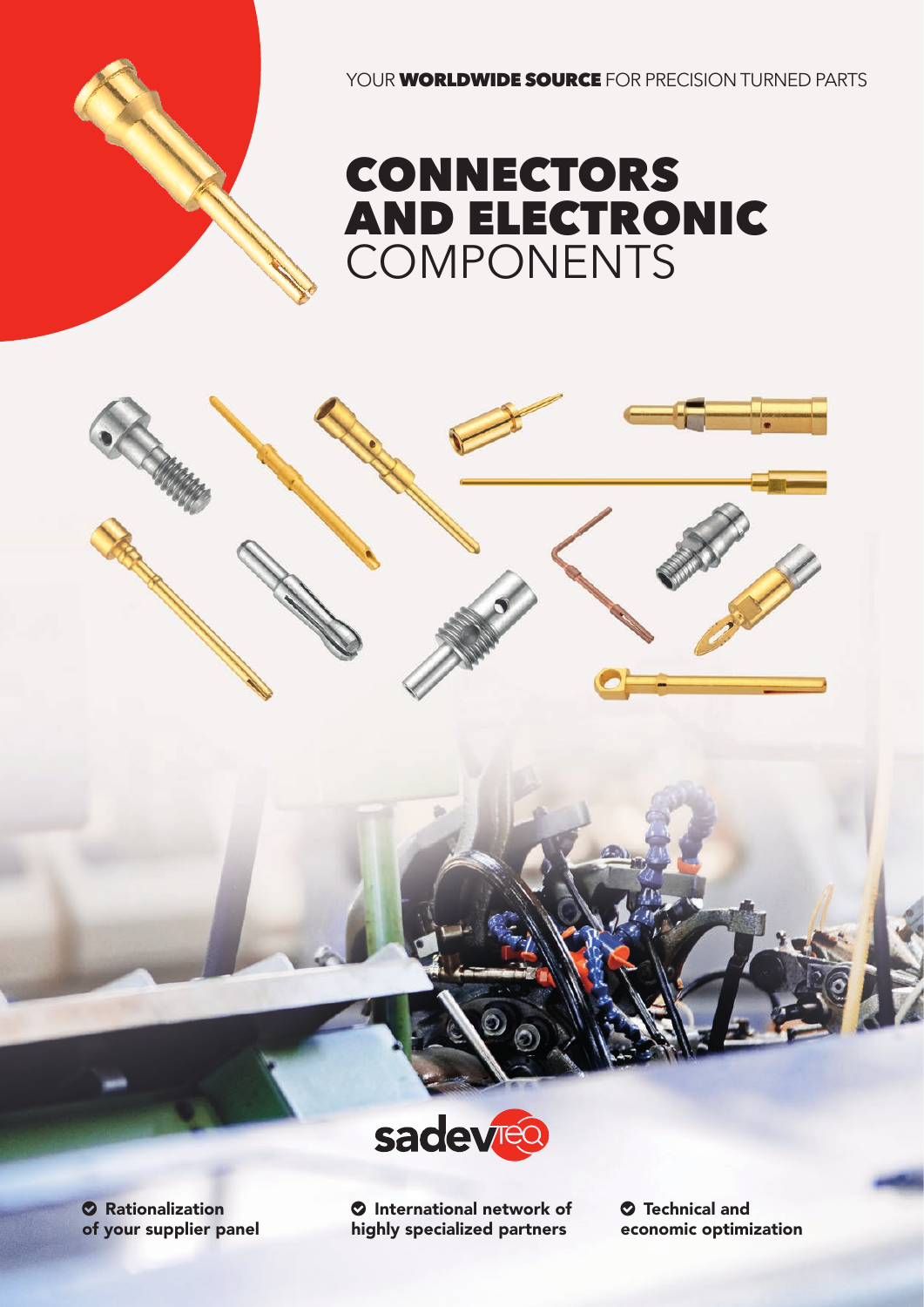YOUR **WORLDWIDE SOURCE** FOR PRECISION TURNED PARTS







**O** Rationalization of your supplier panel **O** International network of highly specialized partners

 Technical and economic optimization